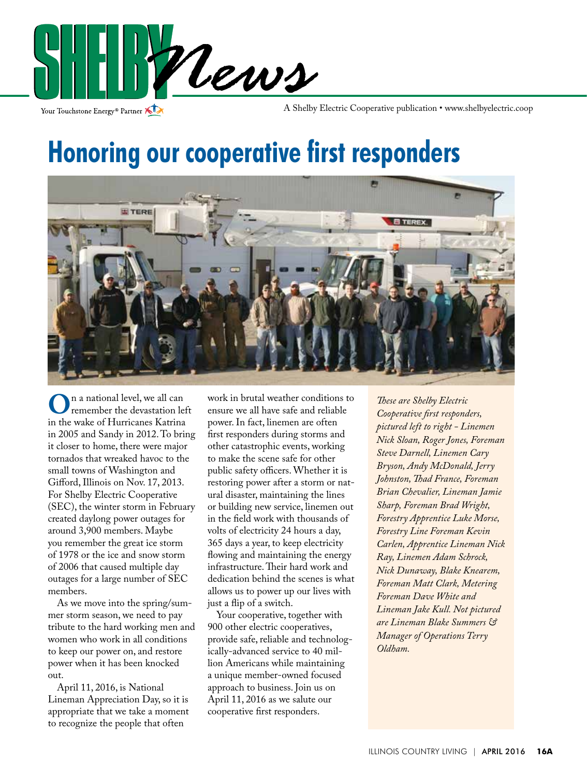

Your Touchstone Energy<sup>®</sup> Partner

A Shelby Electric Cooperative publication • www.shelbyelectric.coop

### **Honoring our cooperative first responders**



**O**n a national level, we all can<br>in the wake of Hurricanes Katrina remember the devastation left in 2005 and Sandy in 2012. To bring it closer to home, there were major tornados that wreaked havoc to the small towns of Washington and Gifford, Illinois on Nov. 17, 2013. For Shelby Electric Cooperative (SEC), the winter storm in February created daylong power outages for around 3,900 members. Maybe you remember the great ice storm of 1978 or the ice and snow storm of 2006 that caused multiple day outages for a large number of SEC members.

 As we move into the spring/summer storm season, we need to pay tribute to the hard working men and women who work in all conditions to keep our power on, and restore power when it has been knocked out.

 April 11, 2016, is National Lineman Appreciation Day, so it is appropriate that we take a moment to recognize the people that often

work in brutal weather conditions to ensure we all have safe and reliable power. In fact, linemen are often first responders during storms and other catastrophic events, working to make the scene safe for other public safety officers. Whether it is restoring power after a storm or natural disaster, maintaining the lines or building new service, linemen out in the field work with thousands of volts of electricity 24 hours a day, 365 days a year, to keep electricity flowing and maintaining the energy infrastructure. Their hard work and dedication behind the scenes is what allows us to power up our lives with just a flip of a switch.

 Your cooperative, together with 900 other electric cooperatives, provide safe, reliable and technologically-advanced service to 40 million Americans while maintaining a unique member-owned focused approach to business. Join us on April 11, 2016 as we salute our cooperative first responders.

*These are Shelby Electric Cooperative first responders, pictured left to right - Linemen Nick Sloan, Roger Jones, Foreman Steve Darnell, Linemen Cary Bryson, Andy McDonald, Jerry Johnston, Thad France, Foreman Brian Chevalier, Lineman Jamie Sharp, Foreman Brad Wright, Forestry Apprentice Luke Morse, Forestry Line Foreman Kevin Carlen, Apprentice Lineman Nick Ray, Linemen Adam Schrock, Nick Dunaway, Blake Knearem, Foreman Matt Clark, Metering Foreman Dave White and Lineman Jake Kull. Not pictured are Lineman Blake Summers & Manager of Operations Terry Oldham.*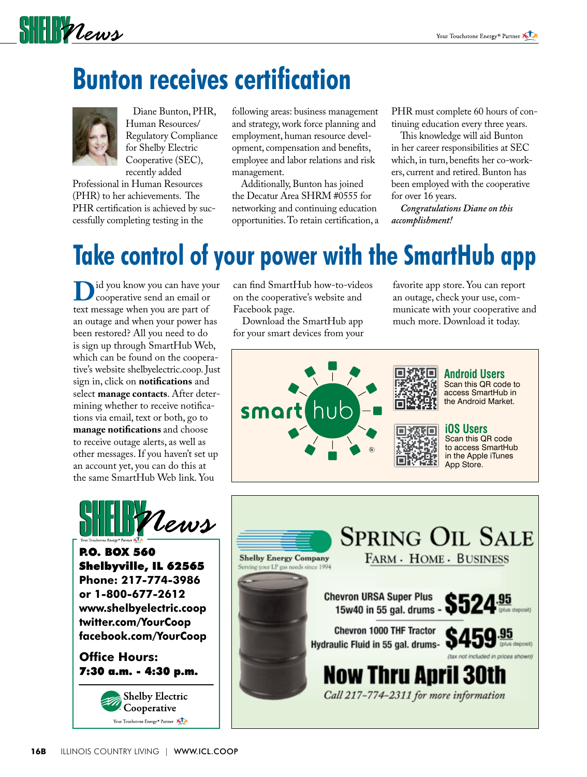# $\frac{1}{2}$

## **Bunton receives certification**



 Diane Bunton, PHR, Human Resources/ Regulatory Compliance for Shelby Electric Cooperative (SEC), recently added

Professional in Human Resources (PHR) to her achievements. The PHR certification is achieved by successfully completing testing in the

following areas: business management and strategy, work force planning and employment, human resource development, compensation and benefits, employee and labor relations and risk management.

 Additionally, Bunton has joined the Decatur Area SHRM #0555 for networking and continuing education opportunities. To retain certification, a PHR must complete 60 hours of continuing education every three years.

 This knowledge will aid Bunton in her career responsibilities at SEC which, in turn, benefits her co-workers, current and retired. Bunton has been employed with the cooperative for over 16 years.

*Congratulations Diane on this accomplishment!* 

### **Take control of your power with the SmartHub app**

**D**id you know you can have your<br>
cooperative send an email or<br>
text message when you are part of text message when you are part of an outage and when your power has been restored? All you need to do is sign up through SmartHub Web, which can be found on the cooperative's website shelbyelectric.coop. Just sign in, click on **notifications** and select **manage contacts**. After determining whether to receive notifications via email, text or both, go to **manage notifications** and choose to receive outage alerts, as well as other messages. If you haven't set up an account yet, you can do this at the same SmartHub Web link. You



P.O. BOX 560 Shelbyville, IL 62565 **Phone: 217-774-3986 or 1-800-677-2612 www.shelbyelectric.coop twitter.com/YourCoop facebook.com/YourCoop**

**Office Hours:** 7:30 a.m. - 4:30 p.m.



can find SmartHub how-to-videos on the cooperative's website and Facebook page.

 Download the SmartHub app for your smart devices from your favorite app store. You can report an outage, check your use, communicate with your cooperative and much more. Download it today.



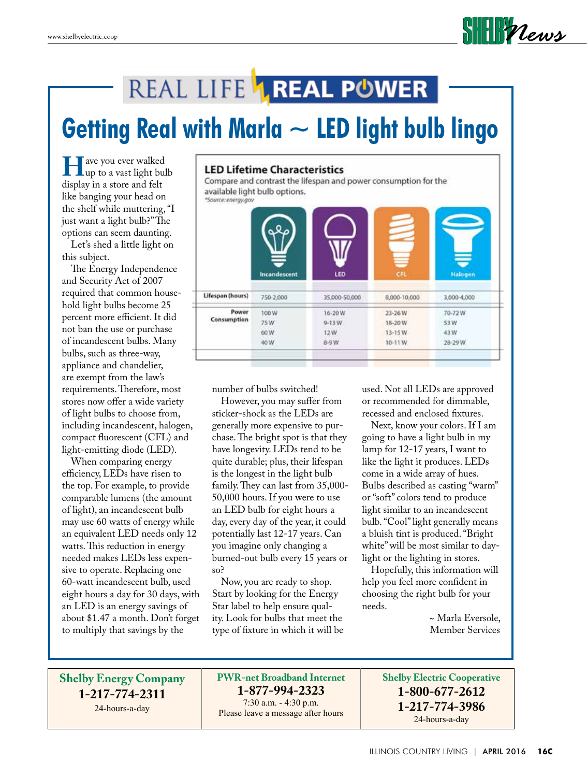

#### REAL LIFE **1 REAL POWER**

# **Getting Real with Marla ~ LED light bulb lingo**

we you ever walked<br>
up to a vast light bulb<br>
display in a store and felt display in a store and felt like banging your head on the shelf while muttering, "I just want a light bulb?" The options can seem daunting.

 Let's shed a little light on this subject.

 The Energy Independence and Security Act of 2007 required that common household light bulbs become 25 percent more efficient. It did not ban the use or purchase of incandescent bulbs. Many bulbs, such as three-way, appliance and chandelier, are exempt from the law's requirements. Therefore, most stores now offer a wide variety of light bulbs to choose from, including incandescent, halogen, compact fluorescent (CFL) and light-emitting diode (LED).

 When comparing energy efficiency, LEDs have risen to the top. For example, to provide comparable lumens (the amount of light), an incandescent bulb may use 60 watts of energy while an equivalent LED needs only 12 watts. This reduction in energy needed makes LEDs less expensive to operate. Replacing one 60-watt incandescent bulb, used eight hours a day for 30 days, with an LED is an energy savings of about \$1.47 a month. Don't forget to multiply that savings by the

#### **LED Lifetime Characteristics**

Compare and contrast the lifespan and power consumption for the available light bulb options.

|                      | Ξ                            |                                        | Ξ                                         | ₹                               |
|----------------------|------------------------------|----------------------------------------|-------------------------------------------|---------------------------------|
|                      | Incandescent                 | LED                                    | <b>CFL</b>                                | Halogen                         |
| Lifespan (hours)     | 750-2,000                    | 35,000-50,000                          | 8,000-10,000                              | 3,000-4,000                     |
| Power<br>Consumption | 100W<br>75W<br>60 W.<br>40 W | 16-20 W<br>$9 - 13$ W<br>12W<br>$8-9W$ | 23-26W<br>18-20 W<br>$13 - 15W$<br>10-11W | 70-72W<br>53W<br>43W<br>28-29 W |

number of bulbs switched!

 However, you may suffer from sticker-shock as the LEDs are generally more expensive to purchase. The bright spot is that they have longevity. LEDs tend to be quite durable; plus, their lifespan is the longest in the light bulb family. They can last from 35,000- 50,000 hours. If you were to use an LED bulb for eight hours a day, every day of the year, it could potentially last 12-17 years. Can you imagine only changing a burned-out bulb every 15 years or so?

 Now, you are ready to shop. Start by looking for the Energy Star label to help ensure quality. Look for bulbs that meet the type of fixture in which it will be used. Not all LEDs are approved or recommended for dimmable, recessed and enclosed fixtures.

 Next, know your colors. If I am going to have a light bulb in my lamp for 12-17 years, I want to like the light it produces. LEDs come in a wide array of hues. Bulbs described as casting "warm" or "soft" colors tend to produce light similar to an incandescent bulb. "Cool" light generally means a bluish tint is produced. "Bright white" will be most similar to daylight or the lighting in stores.

 Hopefully, this information will help you feel more confident in choosing the right bulb for your needs.

> ~ Marla Eversole, Member Services

**Shelby Energy Company 1-217-774-2311** 24-hours-a-day

**PWR-net Broadband Internet 1-877-994-2323**

7:30 a.m. - 4:30 p.m. Please leave a message after hours **Shelby Electric Cooperative 1-800-677-2612 1-217-774-3986** 24-hours-a-day